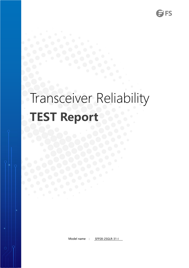# Transceiver Reliability **TEST Report**

Model name : SFP28-25GLR-31-I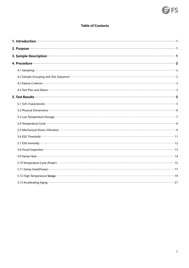# **Table of Contents**

<span id="page-1-0"></span>

| 2. Purpose <u>and the contract of the contract of the contract of the contract of the contract of the contract of the contract of the contract of the contract of the contract of the contract of the contract of the contract o</u> |  |
|--------------------------------------------------------------------------------------------------------------------------------------------------------------------------------------------------------------------------------------|--|
| 3. Sample Description <b>contract and the Contract of Contract and Contract and Contract and Contract and Contract and Contract and Contract and Contract and Contract and Contract and Contract and Contract and Contract and C</b> |  |
| 4. Procedure <b>contract a construction of the contract of the contract of the contract of the contract of the contract of the contract of the contract of the contract of the contract of the contract of the contract of the c</b> |  |
|                                                                                                                                                                                                                                      |  |
| 4.2 Sample Grouping and Test Sequence <b>Commission Commission Commission</b> 2                                                                                                                                                      |  |
| 4.3 Failure Criterion <b>Constitution</b> 2.3                                                                                                                                                                                        |  |
|                                                                                                                                                                                                                                      |  |
|                                                                                                                                                                                                                                      |  |
| 5.1 O/E Characteristic <b>Commission Commission Commission</b> Commission Commission Commission                                                                                                                                      |  |
|                                                                                                                                                                                                                                      |  |
| 5.3 Low Temperature Storage <b>Commission Commission Commission</b> Temperature Commission Commission Commission Commission                                                                                                          |  |
|                                                                                                                                                                                                                                      |  |
| 5.5 Mechanical Shock /Vibration mechanical mechanical contractor of the value of the contractor of the value of                                                                                                                      |  |
|                                                                                                                                                                                                                                      |  |
|                                                                                                                                                                                                                                      |  |
| 5.8 Visual Inspection <b>contracts</b> and the second contract of the second contract of the second contract of the second contract of the second contract of the second contract of the second contract of the second contract of   |  |
|                                                                                                                                                                                                                                      |  |
| 5.10 Temperature Cycle (Power) manufacture and the content of the content of the content of the content of the                                                                                                                       |  |
|                                                                                                                                                                                                                                      |  |
|                                                                                                                                                                                                                                      |  |
|                                                                                                                                                                                                                                      |  |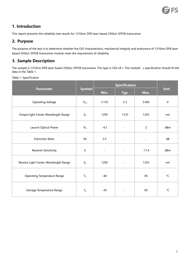# **1. Introduction**

This report presents the reliability test results for 1310nm DFB laser based 25Gb/s SFP28 transceiver.

# <span id="page-2-0"></span>**2. Purpose**

The purpose of the test is to determine whether the O/E characteristics, mechanical integrity and endurance of 1310nm DFB laser based 25Gb/s SFP28 transceiver module meet the requirement of reliability.

# <span id="page-2-1"></span>**3. Sample Description**

The sample is 1310nm DFB laser based 25Gb/s SFP28 transceiver. The type is 25G LR-I. The module's specification should fit the data in the Table 1.

| Table 1: Specification |  |
|------------------------|--|
|------------------------|--|

|                                       |                      |                          | <b>Specification</b>     |                |              |  |
|---------------------------------------|----------------------|--------------------------|--------------------------|----------------|--------------|--|
| <b>Parameter</b>                      | <b>Symbol</b>        | Min.                     | Max.<br>Typ.             |                | <b>Unit</b>  |  |
| <b>Operating Voltage</b>              | $V_{CC}$             | 3.135                    | 3.3                      | 3.465          | $\sf V$      |  |
| Output light Center Wavelength Range  | $\lambda_{\text{C}}$ | 1295                     | 1310                     | 1325           | nm           |  |
| Launch Optical Power                  | $P_{O}$              | $-4.5$                   | $\overline{\phantom{a}}$ | $\overline{2}$ | dBm          |  |
| <b>Extinction Ratio</b>               | EX                   | 3.5                      | $\blacksquare$           | $\blacksquare$ | dB           |  |
| Receiver Sensitivity                  | $\mathsf S$          | $\overline{\phantom{a}}$ | $\overline{\phantom{a}}$ | $-11.4$        | dBm          |  |
| Receive Light Center Wavelength Range | $\lambda_{\text{C}}$ | 1295                     | $\blacksquare$           | 1325           | nm           |  |
| <b>Operating Temperature Range</b>    | $T_C$                | $-40$                    | $\overline{\phantom{a}}$ | 85             | $^{\circ}$ C |  |
| Storage Temperature Range             | $T_S$                | $-45$                    | $\blacksquare$           | 85             | $^{\circ}$ C |  |
|                                       |                      |                          |                          |                |              |  |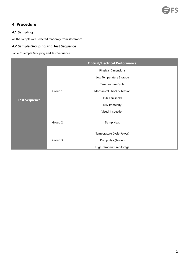# <span id="page-3-0"></span>**4. Procedure**

# <span id="page-3-1"></span>**4.1 Sampling**

All the samples are selected randomly from storeroom.

# <span id="page-3-2"></span>**4.2 Sample Grouping and Test Sequence**

Table 2: Sample Grouping and Test Sequence

|                      |         | <b>Optical/Electrical Performance</b> |
|----------------------|---------|---------------------------------------|
|                      |         | <b>Physical Dimensions</b>            |
|                      |         | Low Temperature Storage               |
|                      |         | Temperature Cycle                     |
|                      | Group 1 | Mechanical Shock/Vibration            |
| <b>Test Sequence</b> |         | <b>ESD Threshold</b>                  |
|                      |         | <b>ESD Immunity</b>                   |
|                      |         | Visual Inspection                     |
|                      | Group 2 | Damp Heat                             |
|                      |         | Temperature Cycle(Power)              |
|                      | Group 3 | Damp Heat(Power)                      |
|                      |         | High-temperature Storage              |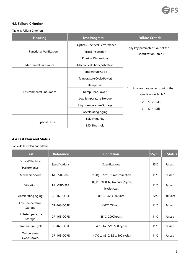

# <span id="page-4-0"></span>**4.3 Failure Criterion**

#### Table 3: Failure Criterion

| <b>Heading</b>                 | <b>Test Program</b>                                                                      | <b>Failure Criteria</b>                                   |  |  |  |
|--------------------------------|------------------------------------------------------------------------------------------|-----------------------------------------------------------|--|--|--|
| <b>Functional Verification</b> | <b>Optical/Electrical Performance</b><br>Visual Inspection<br><b>Physical Dimensions</b> | Any key parameter is out of the<br>specification Table 1. |  |  |  |
| <b>Mechanical Endurance</b>    | Mechanical Shock/Vibration                                                               |                                                           |  |  |  |
|                                | Temperature Cycle                                                                        |                                                           |  |  |  |
|                                | Temperature Cycle(Power)                                                                 |                                                           |  |  |  |
|                                | Damp Heat                                                                                | Any key parameter is out of the<br>1.                     |  |  |  |
| <b>Environmental Endurance</b> | Damp Heat(Power)                                                                         | specification Table 1.                                    |  |  |  |
|                                | Low Temperature Storage                                                                  |                                                           |  |  |  |
|                                | High-temperature Storage                                                                 | $\Delta S$ > 1.0dB<br>2.                                  |  |  |  |
|                                | <b>Accelerating Aging</b>                                                                | 3.<br>$\Delta P > 1.0dB$                                  |  |  |  |
|                                | <b>ESD Immunity</b>                                                                      |                                                           |  |  |  |
| <b>Special Tests</b>           | <b>ESD Threshold</b>                                                                     |                                                           |  |  |  |

# <span id="page-4-1"></span>**4.4 Test Plan and Status**

#### Table 4: Test Plan and Status

| <b>Test</b>                       | <b>Reference</b> | <b>Condition</b>                                | SS/C | <b>Status</b> |
|-----------------------------------|------------------|-------------------------------------------------|------|---------------|
| Optical/Electrical<br>Performance | Specifications   | Specifications                                  | 55/0 | Passed        |
| Mechanic Shock                    | MIL-STD-883      | 1500g, 0.5ms, 5times/direction                  | 11/0 | Passed        |
| Vibration                         | MIL-STD-883      | 20g,20-2000Hz, 4minutes/cycle,<br>4cycles/axis  | 11/0 | Passed        |
| <b>Accelerating Aging</b>         | GR-468-CORE      | 85°C, 3.3V, > 5000hrs                           | 22/0 | 5016hrs       |
| Low Temperature<br>Storage        | GR-468-CORE      | -40°C, 72hours                                  | 11/0 | Passed        |
| High-temperature<br>Storage       | GR-468-CORE      | 85°C, 2000hours                                 | 11/0 | Passed        |
| Temperature Cycle                 | GR-468-CORE      | -40 $^{\circ}$ C to 85 $^{\circ}$ C, 500 cycles | 11/0 | Passed        |
| Temperature<br>Cycle(Power)       | GR-468-CORE      | -40°C to 85°C, 3.3V, 500 cycles                 | 11/0 | Passed        |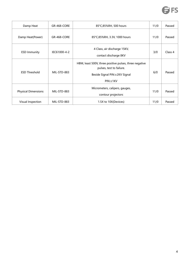

| Damp Heat                  | GR-468-CORE  | 85°C,85%RH, 500 hours                                                                                                            | 11/0 | Passed  |
|----------------------------|--------------|----------------------------------------------------------------------------------------------------------------------------------|------|---------|
| Damp Heat(Power)           | GR-468-CORE  | 85°C,85%RH, 3.3V, 1000 hours                                                                                                     | 11/0 | Passed  |
| <b>ESD Immunity</b>        | IEC61000-4-2 | 4 Class, air discharge 15KV,<br>contact discharge 8KV                                                                            | 3/0  | Class 4 |
| <b>ESD Threshold</b>       | MIL-STD-883  | HBM, least 500V, three positive pulses, three negative<br>pulses, test to failure.<br>Beside Signal PIN: ±2KV Signal<br>PIN:±1KV | 6/0  | Passed  |
| <b>Physical Dimensions</b> | MIL-STD-883  | Micrometers, calipers, gauges,<br>contour projectors                                                                             | 11/0 | Passed  |
| Visual Inspection          | MIL-STD-883  | 1.5X to 10X(Devices)                                                                                                             | 11/0 | Passed  |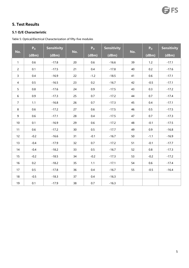# <span id="page-6-0"></span>**5. Test Results**

# <span id="page-6-1"></span>**5.1 O/E Characteristic**

Table 5: Optical/Electrical Characterization of fifty-five modules

| No.              | P <sub>o</sub><br>(dBm) | <b>Sensitivity</b><br>(dBm) | No. | P <sub>o</sub><br>(dBm) | <b>Sensitivity</b><br>(dBm) | No. | P <sub>o</sub><br>(dBm) | <b>Sensitivity</b><br>(dBm) |
|------------------|-------------------------|-----------------------------|-----|-------------------------|-----------------------------|-----|-------------------------|-----------------------------|
| $\mathbf{1}$     | 0.6                     | $-17.8$                     | 20  | 0.6                     | $-16.6$                     | 39  | $1.2$                   | $-17.1$                     |
| $\overline{2}$   | 0.1                     | $-17.5$                     | 21  | 0.4                     | $-17.8$                     | 40  | 0.2                     | $-17.6$                     |
| $\overline{3}$   | 0.4                     | $-16.9$                     | 22  | $-1.2$                  | $-18.5$                     | 41  | 0.6                     | $-17.1$                     |
| $\overline{4}$   | 0.5                     | $-16.5$                     | 23  | 0.2                     | $-16.7$                     | 42  | $-0.5$                  | $-17.1$                     |
| 5                | $0.8\,$                 | $-17.6$                     | 24  | 0.9                     | $-17.5$                     | 43  | 0.3                     | $-17.2$                     |
| 6                | 0.9                     | $-17.3$                     | 25  | 0.7                     | $-17.2$                     | 44  | 0.7                     | $-17.4$                     |
| $\overline{7}$   | 1.1                     | $-16.8$                     | 26  | 0.7                     | $-17.3$                     | 45  | 0.4                     | $-17.1$                     |
| 8                | 0.6                     | $-17.2$                     | 27  | 0.6                     | $-17.5$                     | 46  | 0.5                     | $-17.5$                     |
| $\boldsymbol{9}$ | 0.6                     | $-17.1$                     | 28  | 0.4                     | $-17.5$                     | 47  | 0.7                     | $-17.3$                     |
| 10               | 0.1                     | $-16.9$                     | 29  | 0.6                     | $-17.2$                     | 48  | $-0.1$                  | $-17.5$                     |
| 11               | 0.6                     | $-17.2$                     | 30  | 0.5                     | $-17.7$                     | 49  | 0.9                     | $-16.8$                     |
| 12               | $-0.2$                  | $-16.6$                     | 31  | $-0.1$                  | $-16.7$                     | 50  | $-1.1$                  | $-16.9$                     |
| 13               | $-0.4$                  | $-17.9$                     | 32  | 0.7                     | $-17.2$                     | 51  | $-0.1$                  | $-17.7$                     |
| 14               | $-0.4$                  | $-18.2$                     | 33  | 0.5                     | $-16.7$                     | 52  | $0.8\,$                 | $-17.3$                     |
| 15               | $-0.2$                  | $-18.5$                     | 34  | $-0.2$                  | $-17.3$                     | 53  | $-0.2$                  | $-17.2$                     |
| 16               | 0.2                     | $-18.2$                     | 35  | 1.1                     | $-17.1$                     | 54  | 0.6                     | $-17.4$                     |
| 17               | 0.5                     | $-17.8$                     | 36  | 0.4                     | $-16.7$                     | 55  | $-0.5$                  | $-16.4$                     |
| 18               | $-0.5$                  | $-18.3$                     | 37  | 0.4                     | $-16.3$                     |     |                         |                             |
| 19               | 0.1                     | $-17.9$                     | 38  | 0.7                     | $-16.3$                     |     |                         |                             |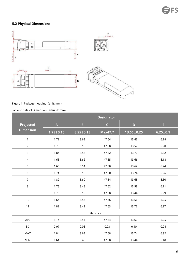# <span id="page-7-0"></span>**5.2 Physical Dimensions**



# Figure 1: Package outline (unit: mm)

#### Table 6: Data of Dimension Test(unit: mm)

|                  |                 |                 | <b>Designator</b> |                  |                |
|------------------|-----------------|-----------------|-------------------|------------------|----------------|
| <b>Projected</b> | $\mathbf{A}$    | B               | $\mathsf{C}$      | $\mathbf{D}$     | E.             |
| <b>Dimension</b> | $1.75 \pm 0.15$ | $8.55 \pm 0.15$ | <b>Max47.7</b>    | $13.55 \pm 0.25$ | $6.25 \pm 0.1$ |
| $\mathbf{1}$     | 1.72            | 8.65            | 47.64             | 13.46            | 6.28           |
| $\overline{c}$   | 1.78            | 8.50            | 47.68             | 13.52            | 6.20           |
| $\mathsf{3}$     | 1.84            | 8.46            | 47.62             | 13.70            | 6.32           |
| $\overline{4}$   | 1.68            | 8.62            | 47.65             | 13.66            | 6.18           |
| 5                | 1.65            | 8.54            | 47.58             | 13.62            | 6.24           |
| $6\,$            | 1.74            | 8.58            | 47.60             | 13.74            | 6.26           |
| $\overline{7}$   | 1.82            | 8.60            | 47.64             | 13.65            | 6.30           |
| 8                | 1.75            | 8.48            | 47.62             | 13.58            | 6.21           |
| 9                | 1.70            | 8.52            | 47.68             | 13.44            | 6.29           |
| 10               | 1.64            | 8.46            | 47.66             | 13.56            | 6.25           |
| 11               | 1.82            | 8.49            | 47.63             | 13.72            | 6.27           |
|                  |                 |                 | <b>Statistics</b> |                  |                |
| AVE              | 1.74            | 8.54            | 47.64             | 13.60            | 6.25           |
| SD               | 0.07            | 0.06            | 0.03              | 0.10             | 0.04           |
| MAX              | 1.84            | 8.65            | 47.68             | 13.74            | 6.32           |
| <b>MIN</b>       | 1.64            | 8.46            | 47.58             | 13.44            | 6.18           |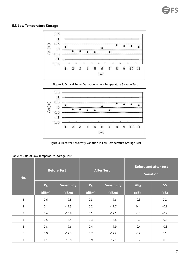## <span id="page-8-0"></span>**5.3 Low Temperature Storage**



Figure 2: Optical Power Variation in Low Temperature Storage Test



Figure 3: Receiver Sensitivity Variation in Low Temperature Storage Test

| No.            | <b>Before Test</b>      |                             | <b>After Test</b>       |                             | <b>Before and after test</b><br><b>Variation</b> |                    |  |
|----------------|-------------------------|-----------------------------|-------------------------|-----------------------------|--------------------------------------------------|--------------------|--|
|                | P <sub>o</sub><br>(dBm) | <b>Sensitivity</b><br>(dBm) | P <sub>o</sub><br>(dBm) | <b>Sensitivity</b><br>(dBm) | $\Delta P_{\rm O}$<br>(dB)                       | $\Delta S$<br>(dB) |  |
| $\mathbf{1}$   | 0.6                     | $-17.8$                     | 0.3                     | $-17.6$                     | $-0.3$                                           | 0.2                |  |
| $\overline{2}$ | 0.1                     | $-17.5$                     | 0.2                     | $-17.7$                     | 0.1                                              | $-0.2$             |  |
| 3              | 0.4                     | $-16.9$                     | 0.1                     | $-17.1$                     | $-0.3$                                           | $-0.2$             |  |
| $\overline{4}$ | 0.5                     | $-16.5$                     | 0.3                     | $-16.8$                     | $-0.2$                                           | $-0.3$             |  |
| 5              | 0.8                     | $-17.6$                     | 0.4                     | $-17.9$                     | $-0.4$                                           | $-0.3$             |  |
| 6              | 0.9                     | $-17.3$                     | 0.7                     | $-17.2$                     | $-0.2$                                           | 0.1                |  |
| $\overline{7}$ | 1.1                     | $-16.8$                     | 0.9                     | $-17.1$                     | $-0.2$                                           | $-0.3$             |  |

Table 7: Data of Low Temperature Storage Test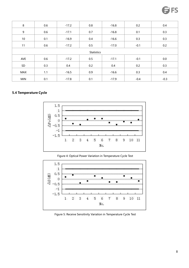| $\bf 8$     | 0.6 | $-17.2$ | 0.8               | $-16.8$ | 0.2    | 0.4    |
|-------------|-----|---------|-------------------|---------|--------|--------|
| $\mathsf g$ | 0.6 | $-17.1$ | 0.7               | $-16.8$ | 0.1    | 0.3    |
| $10\,$      | 0.1 | $-16.9$ | 0.4               | $-16.6$ | 0.3    | 0.3    |
| 11          | 0.6 | $-17.2$ | 0.5               | $-17.0$ | $-0.1$ | 0.2    |
|             |     |         | <b>Statistics</b> |         |        |        |
| AVE         | 0.6 | $-17.2$ | 0.5               | $-17.1$ | $-0.1$ | 0.0    |
| SD          | 0.3 | 0.4     | 0.2               | 0.4     | 0.2    | 0.3    |
| <b>MAX</b>  | 1.1 | $-16.5$ | 0.9               | $-16.6$ | 0.3    | 0.4    |
| <b>MIN</b>  | 0.1 | $-17.8$ | 0.1               | $-17.9$ | $-0.4$ | $-0.3$ |

# <span id="page-9-0"></span>**5.4 Temperature Cycle**



#### Figure 4: Optical Power Variation in Temperature Cycle Test



Figure 5: Receive Sensitivity Variation in Temperature Cycle Test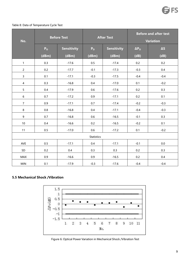#### Table 8: Data of Temperature Cycle Test

| No.              | <b>Before Test</b> |                    |                   | <b>After Test</b>  | <b>Before and after test</b><br>Variation |            |  |
|------------------|--------------------|--------------------|-------------------|--------------------|-------------------------------------------|------------|--|
|                  | P <sub>o</sub>     | <b>Sensitivity</b> | P <sub>o</sub>    | <b>Sensitivity</b> | $\Delta P_{\rm O}$                        | $\Delta S$ |  |
|                  | (dBm)              | (dBm)              | (dBm)             | (dBm)              | (dB)                                      | (dB)       |  |
| $\mathbf{1}$     | 0.3                | $-17.6$            | 0.5               | $-17.4$            | 0.2                                       | 0.2        |  |
| $\overline{c}$   | 0.2                | $-17.7$            | $-0.1$            | $-17.3$            | $-0.3$                                    | 0.4        |  |
| 3                | 0.1                | $-17.1$            | $-0.3$            | $-17.5$            | $-0.4$                                    | $-0.4$     |  |
| $\overline{4}$   | 0.3                | $-16.8$            | 0.4               | $-17.0$            | 0.1                                       | $-0.2$     |  |
| $5\overline{)}$  | 0.4                | $-17.9$            | 0.6               | $-17.6$            | 0.2                                       | 0.3        |  |
| $\boldsymbol{6}$ | 0.7                | $-17.2$            | 0.9               | $-17.1$            | 0.2                                       | 0.1        |  |
| $\overline{7}$   | 0.9                | $-17.1$            | 0.7               | $-17.4$            | $-0.2$                                    | $-0.3$     |  |
| 8                | 0.8                | $-16.8$            | $0.4\,$           | $-17.1$            | $-0.4$                                    | $-0.3$     |  |
| 9                | 0.7                | $-16.8$            | 0.6               | $-16.5$            | $-0.1$                                    | 0.3        |  |
| $10\,$           | $0.4\,$            | $-16.6$            | 0.2               | $-16.5$            | $-0.2$                                    | 0.1        |  |
| $11$             | $0.5\,$            | $-17.0$            | $0.6\,$           | $-17.2$            | 0.1                                       | $-0.2$     |  |
|                  |                    |                    | <b>Statistics</b> |                    |                                           |            |  |
| AVE              | 0.5                | $-17.1$            | 0.4               | $-17.1$            | $-0.1$                                    | 0.0        |  |
| SD               | 0.2                | 0.4                | 0.3               | 0.3                | 0.2                                       | 0.3        |  |
| <b>MAX</b>       | 0.9                | $-16.6$            | 0.9               | $-16.5$            | 0.2                                       | $0.4\,$    |  |
| <b>MIN</b>       | 0.1                | $-17.9$            | $-0.3$            | $-17.6$            | $-0.4$                                    | $-0.4$     |  |

# <span id="page-10-0"></span>**5.5 Mechanical Shock /Vibration**



Figure 6: Optical Power Variation in Mechanical Shock /Vibration Test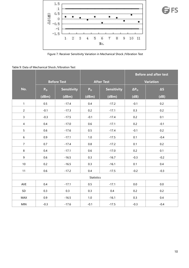

# **FS**

Figure 7: Receiver Sensitivity Variation in Mechanical Shock /Vibration Test

#### Table 9: Data of Mechanical Shock /Vibration Test

<span id="page-11-0"></span>

|                |                |                    |                   |                    | <b>Before and after test</b> |            |  |
|----------------|----------------|--------------------|-------------------|--------------------|------------------------------|------------|--|
|                |                | <b>Before Test</b> |                   | <b>After Test</b>  |                              | Variation  |  |
| No.            | P <sub>o</sub> | <b>Sensitivity</b> | P <sub>o</sub>    | <b>Sensitivity</b> | $\Delta P_{\rm O}$           | $\Delta S$ |  |
|                | (dBm)          | (dBm)              | (dBm)             | (dBm)              | (dB)                         | (dB)       |  |
| $\mathbf{1}$   | 0.5            | $-17.4$            | 0.4               | $-17.2$            | $-0.1$                       | 0.2        |  |
| $\overline{2}$ | $-0.1$         | $-17.3$            | 0.2               | $-17.1$            | 0.3                          | 0.2        |  |
| $\overline{3}$ | $-0.3$         | $-17.5$            | $-0.1$            | $-17.4$            | 0.2                          | 0.1        |  |
| $\overline{4}$ | 0.4            | $-17.0$            | 0.6               | $-17.1$            | 0.2                          | $-0.1$     |  |
| 5 <sub>1</sub> | 0.6            | $-17.6$            | 0.5               | $-17.4$            | $-0.1$                       | 0.2        |  |
| $6\phantom{a}$ | 0.9            | $-17.1$            | 1.0               | $-17.5$            | 0.1                          | $-0.4$     |  |
| $\overline{7}$ | 0.7            | $-17.4$            | 0.8               | $-17.2$            | 0.1                          | 0.2        |  |
| 8              | 0.4            | $-17.1$            | 0.6               | $-17.0$            | 0.2                          | 0.1        |  |
| 9              | 0.6            | $-16.5$            | 0.3               | $-16.7$            | $-0.3$                       | $-0.2$     |  |
| 10             | 0.2            | $-16.5$            | 0.3               | $-16.1$            | 0.1                          | $0.4\,$    |  |
| 11             | 0.6            | $-17.2$            | 0.4               | $-17.5$            | $-0.2$                       | $-0.3$     |  |
|                |                |                    | <b>Statistics</b> |                    |                              |            |  |
| AVE            | $0.4\,$        | $-17.1$            | 0.5               | $-17.1$            | $0.0\,$                      | $0.0\,$    |  |
| SD             | 0.3            | 0.3                | 0.3               | 0.4                | 0.2                          | 0.2        |  |
| MAX            | 0.9            | $-16.5$            | 1.0               | $-16.1$            | 0.3                          | $0.4\,$    |  |
| <b>MIN</b>     | $-0.3$         | $-17.6$            | $-0.1$            | $-17.5$            | $-0.3$                       | $-0.4$     |  |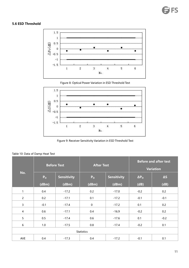# **5.6 ESD Threshold**







Figure 9: Receiver Sensitivity Variation in ESD Threshold Test

|                |                | <b>Before Test</b> | <b>After Test</b> |                    | <b>Before and after test</b><br><b>Variation</b> |            |  |
|----------------|----------------|--------------------|-------------------|--------------------|--------------------------------------------------|------------|--|
| No.            | P <sub>o</sub> | <b>Sensitivity</b> | P <sub>o</sub>    | <b>Sensitivity</b> | $\Delta P_{O}$                                   | $\Delta S$ |  |
|                | (dBm)          | (dBm)              | (dBm)             | (dBm)              | (dB)                                             | (dB)       |  |
| $\mathbf{1}$   | 0.4            | $-17.2$            | 0.2               | $-17.0$            | $-0.2$                                           | 0.2        |  |
| $\overline{2}$ | 0.2            | $-17.1$            | 0.1               | $-17.2$            | $-0.1$                                           | $-0.1$     |  |
| $\mathsf{3}$   | $-0.1$         | $-17.4$            | $\pmb{0}$         | $-17.2$            | 0.1                                              | 0.2        |  |
| $\overline{4}$ | 0.6            | $-17.1$            | 0.4               | $-16.9$            | $-0.2$                                           | 0.2        |  |
| 5              | 0.5            | $-17.4$            | 0.6               | $-17.6$            | 0.1                                              | $-0.2$     |  |
| 6              | 1.0            | $-17.5$            | 0.8               | $-17.4$            | $-0.2$                                           | 0.1        |  |
|                |                |                    | <b>Statistics</b> |                    |                                                  |            |  |
| AVE            | 0.4            | $-17.3$            | 0.4               | $-17.2$            | $-0.1$                                           | 0.1        |  |

# Table 10: Data of Damp Heat Test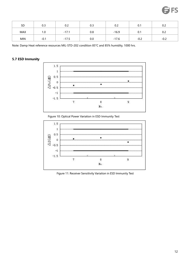

| <b>SD</b>  | 0.3    | 0.2     | 0.3 | 0.2     | U.I    | 0.2    |
|------------|--------|---------|-----|---------|--------|--------|
| <b>MAX</b> | 1.0    | $-17.1$ | 0.8 | $-16.9$ | 0.1    | 0.2    |
| <b>MIN</b> | $-0.1$ | $-17.5$ | 0.0 | $-17.6$ | $-0.2$ | $-0.2$ |

Note: Damp Heat reference resources MIL-STD-202 condition 85°C and 85% humidity, 1000 hrs.

# <span id="page-13-0"></span>**5.7 ESD Immunity**



Figure 10: Optical Power Variation in ESD Immunity Test



Figure 11: Receiver Sensitivity Variation in ESD Immunity Test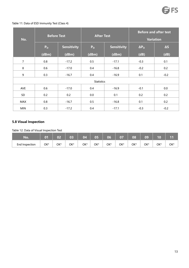# Table 11: Data of ESD Immunity Test (Class 4)

| No.            | <b>Before Test</b> |                    | <b>After Test</b>                    |         | <b>Before and after test</b><br><b>Variation</b> |            |  |
|----------------|--------------------|--------------------|--------------------------------------|---------|--------------------------------------------------|------------|--|
|                | P <sub>o</sub>     | <b>Sensitivity</b> | <b>Sensitivity</b><br>P <sub>o</sub> |         | $\Delta P_{O}$                                   | $\Delta S$ |  |
|                | (dBm)              | (dBm)              | (dBm)                                | (dBm)   | (dB)                                             | (dB)       |  |
| $\overline{7}$ | 0.8                | $-17.2$            | 0.5                                  | $-17.1$ | $-0.3$                                           | 0.1        |  |
| 8              | 0.6                | $-17.0$            | 0.4                                  | $-16.8$ | $-0.2$                                           | 0.2        |  |
| 9              | 0.3                | $-16.7$            | 0.4                                  | $-16.9$ | 0.1                                              | $-0.2$     |  |
|                |                    |                    | <b>Statistics</b>                    |         |                                                  |            |  |
| <b>AVE</b>     | 0.6                | $-17.0$            | 0.4                                  | $-16.9$ | $-0.1$                                           | 0.0        |  |
| SD             | 0.2                | 0.2                | 0.0                                  | 0.1     | 0.2                                              | 0.2        |  |
| MAX            | 0.8                | $-16.7$            | 0.5                                  | $-16.8$ | 0.1                                              | 0.2        |  |
| <b>MIN</b>     | 0.3                | $-17.2$            | 0.4                                  | $-17.1$ | $-0.3$                                           | $-0.2$     |  |

# <span id="page-14-0"></span>**5.8 Visual Inspection**

Table 12: Data of Visual Inspection Test

| No.            | $\overline{\mathbf{0}}$ 1 | $\overline{02}$ | 03  | 04  | 05  | 06  | $\overline{\mathbf{07}}$ | 08  | 09  | 10  | 11  |
|----------------|---------------------------|-----------------|-----|-----|-----|-----|--------------------------|-----|-----|-----|-----|
| End Inspection | OK*                       | OK*             | OK* | OK* | OK* | OK* | OK*                      | ОК* | OK* | OK* | OK* |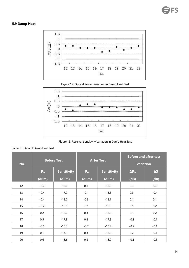# <span id="page-15-0"></span>**5.9 Damp Heat**





Figure 12: Optical Power variation in Damp Heat Test

Figure 13: Receiver Sensitivity Variation in Damp Heat Test

#### Table 13: Data of Damp Heat Test

| No. |                | <b>Before Test</b> |                | <b>After Test</b>  | <b>Before and after test</b><br><b>Variation</b> |            |  |
|-----|----------------|--------------------|----------------|--------------------|--------------------------------------------------|------------|--|
|     | P <sub>o</sub> | <b>Sensitivity</b> | P <sub>o</sub> | <b>Sensitivity</b> | $\Delta P_{O}$                                   | $\Delta S$ |  |
|     | (dBm)          | (dBm)              | (dBm)          | (dBm)              | (dB)                                             | (dB)       |  |
| 12  | $-0.2$         | $-16.6$            | 0.1            | $-16.9$            | 0.3                                              | $-0.3$     |  |
| 13  | $-0.4$         | $-17.9$            | $-0.1$         | $-18.3$            | 0.3                                              | $-0.4$     |  |
| 14  | $-0.4$         | $-18.2$            | $-0.3$         | $-18.1$            | 0.1                                              | 0.1        |  |
| 15  | $-0.2$         | $-18.5$            | $-0.1$         | $-18.3$            | 0.1                                              | 0.2        |  |
| 16  | 0.2            | $-18.2$            | 0.3            | $-18.0$            | 0.1                                              | 0.2        |  |
| 17  | 0.5            | $-17.8$            | 0.2            | $-17.9$            | $-0.3$                                           | $-0.1$     |  |
| 18  | $-0.5$         | $-18.3$            | $-0.7$         | $-18.4$            | $-0.2$                                           | $-0.1$     |  |
| 19  | 0.1            | $-17.9$            | 0.3            | $-18.0$            | 0.2                                              | $-0.1$     |  |
| 20  | 0.6            | $-16.6$            | 0.5            | $-16.9$            | $-0.1$                                           | $-0.3$     |  |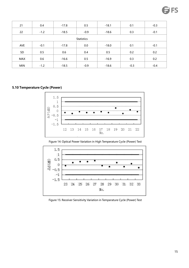| 21                | 0.4    | $-17.8$ | 0.5    | $-18.1$ | 0.1    | $-0.3$ |  |  |  |  |  |  |
|-------------------|--------|---------|--------|---------|--------|--------|--|--|--|--|--|--|
| 22                | $-1.2$ | $-18.5$ | $-0.9$ | $-18.6$ | 0.3    | $-0.1$ |  |  |  |  |  |  |
| <b>Statistics</b> |        |         |        |         |        |        |  |  |  |  |  |  |
| AVE               | $-0.1$ | $-17.8$ | 0.0    | $-18.0$ | 0.1    | $-0.1$ |  |  |  |  |  |  |
| SD                | 0.5    | 0.6     | 0.4    | 0.5     | 0.2    | 0.2    |  |  |  |  |  |  |
| MAX               | 0.6    | $-16.6$ | 0.5    | $-16.9$ | 0.3    | 0.2    |  |  |  |  |  |  |
| <b>MIN</b>        | $-1.2$ | $-18.5$ | $-0.9$ | $-18.6$ | $-0.3$ | $-0.4$ |  |  |  |  |  |  |

# <span id="page-16-0"></span>**5.10 Temperature Cycle (Power)**



Figure 14: Optical Power Variation in High Temperature Cycle (Power) Test



Figure 15: Receiver Sensitivity Variation in Temperature Cycle (Power) Test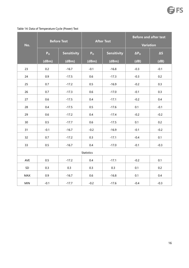| No.             |                | <b>Before Test</b> |                   | <b>After Test</b>  | <b>Before and after test</b><br><b>Variation</b> |            |  |
|-----------------|----------------|--------------------|-------------------|--------------------|--------------------------------------------------|------------|--|
|                 | P <sub>o</sub> | <b>Sensitivity</b> | P <sub>o</sub>    | <b>Sensitivity</b> | $\overline{\Delta P_{O}}$                        | $\Delta S$ |  |
|                 | (dBm)          | (dBm)              | (dBm)             | (dBm)              | (dB)                                             | (dB)       |  |
| 23              | 0.2            | $-16.7$            | $-0.1$            | $-16.8$            | $-0.3$                                           | $-0.1$     |  |
| 24              | 0.9            | $-17.5$            | 0.6               | $-17.3$            | $-0.3$                                           | 0.2        |  |
| 25              | 0.7            | $-17.2$            | 0.5               | $-16.9$            | $-0.2$                                           | 0.3        |  |
| 26              | 0.7            | $-17.3$            | 0.6               | $-17.0$            | $-0.1$                                           | 0.3        |  |
| 27              | 0.6            | $-17.5$            | 0.4               | $-17.1$            | $-0.2$                                           | $0.4\,$    |  |
| 28              | 0.4            | $-17.5$            | 0.5               | $-17.6$            | 0.1                                              | $-0.1$     |  |
| 29              | 0.6            | $-17.2$            | $0.4\,$           | $-17.4$            | $-0.2$                                           | $-0.2$     |  |
| 30 <sub>o</sub> | $0.5\,$        | $-17.7$            | 0.6               | $-17.5$            | 0.1                                              | 0.2        |  |
| 31              | $-0.1$         | $-16.7$            | $-0.2$            | $-16.9$            | $-0.1$                                           | $-0.2$     |  |
| 32              | 0.7            | $-17.2$            | 0.3               | $-17.1$            | $-0.4$                                           | 0.1        |  |
| 33              | $0.5\,$        | $-16.7$            | 0.4               | $-17.0$            | $-0.1$                                           | $-0.3$     |  |
|                 |                |                    | <b>Statistics</b> |                    |                                                  |            |  |
| AVE             | 0.5            | $-17.2$            | 0.4               | $-17.1$            | $-0.2$                                           | 0.1        |  |
| SD              | 0.3            | 0.3                | 0.3               | 0.3                | 0.1                                              | 0.2        |  |
| MAX             | 0.9            | $-16.7$            | 0.6               | $-16.8$            | 0.1                                              | 0.4        |  |
| $\mathsf{MIN}$  | $-0.1$         | $-17.7$            | $-0.2$            | $-17.6$            | $-0.4$                                           | $-0.3$     |  |

Table 14: Data of Temperature Cycle (Power) Test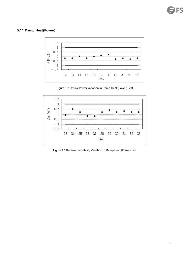# <span id="page-18-0"></span>**5.11 Damp Heat(Power)**



Figure 16: Optical Power variation in Damp Heat (Power) Test



Figure 17: Receiver Sensitivity Variation in Damp Heat (Power) Test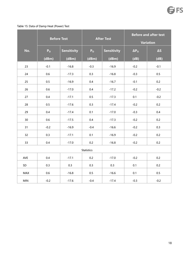#### Table 15: Data of Damp Heat (Power) Test

|            | <b>Before Test</b> |                    |                   | <b>After Test</b>  | <b>Before and after test</b><br>Variation |            |  |
|------------|--------------------|--------------------|-------------------|--------------------|-------------------------------------------|------------|--|
| No.        | P <sub>o</sub>     | <b>Sensitivity</b> | P <sub>o</sub>    | <b>Sensitivity</b> | $\Delta P_{\rm O}$                        | $\Delta S$ |  |
|            | (dBm)              | (dBm)              | (dBm)             | (dBm)              | (dB)                                      | (dB)       |  |
| 23         | $-0.1$             | $-16.8$            | $-0.3$            | $-16.9$            | $-0.2$                                    | $-0.1$     |  |
| 24         | 0.6                | $-17.3$            | 0.3               | $-16.8$            | $-0.3$                                    | 0.5        |  |
| 25         | 0.5                | $-16.9$            | 0.4               | $-16.7$            | $-0.1$                                    | 0.2        |  |
| 26         | $0.6\,$            | $-17.0$            | 0.4               | $-17.2$            | $-0.2$                                    | $-0.2$     |  |
| 27         | 0.4                | $-17.1$            | 0.5               | $-17.3$            | 0.1                                       | $-0.2$     |  |
| 28         | 0.5                | $-17.6$            | 0.3               | $-17.4$            | $-0.2$                                    | 0.2        |  |
| 29         | 0.4                | $-17.4$            | 0.1               | $-17.0$            | $-0.3$                                    | 0.4        |  |
| 30         | 0.6                | $-17.5$            | 0.4               | $-17.3$            | $-0.2$                                    | 0.2        |  |
| 31         | $-0.2$             | $-16.9$            | $-0.4$            | $-16.6$            | $-0.2$                                    | 0.3        |  |
| 32         | 0.3                | $-17.1$            | 0.1               | $-16.9$            | $-0.2$                                    | 0.2        |  |
| 33         | 0.4                | $-17.0$            | 0.2               | $-16.8$            | $-0.2$                                    | 0.2        |  |
|            |                    |                    | <b>Statistics</b> |                    |                                           |            |  |
| AVE        | 0.4                | $-17.1$            | 0.2               | $-17.0$            | $-0.2$                                    | 0.2        |  |
| SD         | 0.3                | 0.3                | 0.3               | 0.3                | 0.1                                       | 0.2        |  |
| <b>MAX</b> | 0.6                | $-16.8$            | 0.5               | $-16.6$            | 0.1                                       | 0.5        |  |
| <b>MIN</b> | $-0.2$             | $-17.6$            | $-0.4$            | $-17.4$            | $-0.3$                                    | $-0.2$     |  |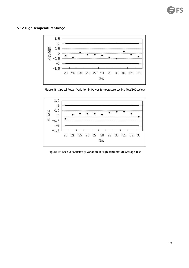# <span id="page-20-0"></span>**5.12 High Temperature Storage**



Figure 18: Optical Power Variation in Power Temperature cycling Test(500cycles)



Figure 19: Receiver Sensitivity Variation in High-temperature Storage Test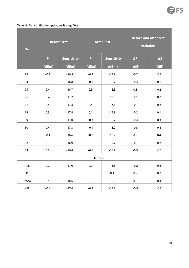#### Table 16: Data of High-temperature Storage Test

| No. |                | <b>Before Test</b> |                   | <b>After Test</b>  | <b>Before and after test</b><br><b>Variation</b> |            |  |
|-----|----------------|--------------------|-------------------|--------------------|--------------------------------------------------|------------|--|
|     | P <sub>o</sub> | <b>Sensitivity</b> | P <sub>o</sub>    | <b>Sensitivity</b> | $\Delta P_{O}$                                   | $\Delta S$ |  |
|     | (dBm)          | (dBm)              | (dBm)             | (dBm)              | (dB)                                             | (dB)       |  |
| 23  | $-0.3$         | $-16.9$            | $-0.5$            | $-17.2$            | $-0.2$                                           | $-0.3$     |  |
| 24  | 0.3            | $-16.8$            | $-0.1$            | $-16.7$            | $-0.4$                                           | 0.1        |  |
| 25  | 0.4            | $-16.7$            | 0.5               | $-16.5$            | $0.1\,$                                          | 0.2        |  |
| 26  | 0.4            | $-17.2$            | 0.3               | $-17.0$            | $-0.1$                                           | 0.2        |  |
| 27  | $0.5\,$        | $-17.3$            | 0.4               | $-17.1$            | $-0.1$                                           | 0.2        |  |
| 28  | 0.3            | $-17.4$            | 0.1               | $-17.3$            | $-0.2$                                           | 0.1        |  |
| 29  | 0.1            | $-17.0$            | $-0.3$            | $-16.7$            | $-0.4$                                           | 0.3        |  |
| 30  | 0.4            | $-17.3$            | $-0.1$            | $-16.9$            | $-0.5$                                           | $0.4\,$    |  |
| 31  | $-0.4$         | $-16.6$            | $-0.2$            | $-16.2$            | 0.2                                              | 0.4        |  |
| 32  | 0.1            | $-16.9$            | $\pmb{0}$         | $-16.7$            | $-0.1$                                           | 0.2        |  |
| 33  | 0.2            | $-16.8$            | $-0.1$            | $-16.9$            | $-0.3$                                           | $-0.1$     |  |
|     |                |                    | <b>Statistics</b> |                    |                                                  |            |  |
| AVE | 0.2            | $-17.0$            | $0.0\,$           | $-16.8$            | $-0.2$                                           | 0.2        |  |
| SD  | 0.3            | 0.3                | 0.3               | 0.3                | 0.2                                              | 0.2        |  |
| MAX | $0.5\,$        | $-16.6$            | 0.5               | $-16.2$            | 0.2                                              | $0.4\,$    |  |
| MIN | $-0.4$         | $-17.4$            | $-0.5$            | $-17.3$            | $-0.5$                                           | $-0.3$     |  |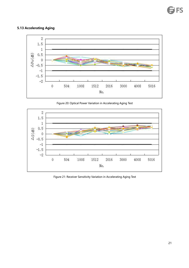# <span id="page-22-0"></span>**5.13 Accelerating Aging**



Figure 20: Optical Power Variation in Accelerating Aging Test



Figure 21: Receiver Sensitivity Variation in Accelerating Aging Test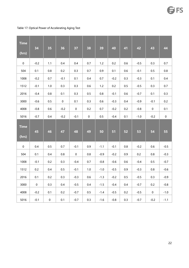Table 17: Optical Power of Accelerating Aging Test

| <b>Time</b>         | 34          | 35        | 36                  | 37        | 38                  | 39      | 40     | 41      | 42      | 43          | 44                  |
|---------------------|-------------|-----------|---------------------|-----------|---------------------|---------|--------|---------|---------|-------------|---------------------|
| (hrs)               |             |           |                     |           |                     |         |        |         |         |             |                     |
| $\mathbf 0$         | $-0.2$      | $1.1$     | 0.4                 | $0.4\,$   | 0.7                 | $1.2$   | 0.2    | 0.6     | $-0.5$  | 0.3         | 0.7                 |
| 504                 | 0.1         | $0.8\,$   | 0.2                 | 0.3       | 0.7                 | $0.9\,$ | 0.1    | 0.6     | $-0.1$  | $0.5\,$     | 0.8                 |
| 1008                | $-0.2$      | 0.7       | $-0.1$              | 0.1       | $0.4\,$             | 0.7     | $-0.2$ | 0.3     | $-0.3$  | 0.1         | $0.4\,$             |
| 1512                | $-0.1$      | 1.0       | 0.3                 | 0.3       | 0.6                 | 1.2     | 0.2    | 0.5     | $-0.5$  | 0.3         | 0.7                 |
| 2016                | $-0.4$      | $0.8\,$   | 0.1                 | 0.3       | 0.5                 | $0.8\,$ | $-0.1$ | 0.6     | $-0.7$  | 0.1         | 0.3                 |
| 3000                | $-0.6$      | 0.5       | $\mathsf{O}\xspace$ | 0.1       | 0.3                 | 0.6     | $-0.3$ | 0.4     | $-0.9$  | $-0.1$      | 0.2                 |
| 4008                | $-0.8$      | 0.6       | $-0.2$              | $\pmb{0}$ | 0.2                 | 0.7     | $-0.2$ | 0.2     | $-0.8$  | $\mathbf 0$ | 0.1                 |
| 5016                | $-0.7$      | 0.4       | $-0.2$              | $-0.1$    | $\mathsf{O}\xspace$ | 0.5     | $-0.4$ | 0.1     | $-1.0$  | $-0.2$      | $\mathsf{O}\xspace$ |
| <b>Time</b>         | 45          | 46        | 47                  | 48        | 49                  | 50      | 51     | 52      | 53      | 54          | 55                  |
| (hrs)               |             |           |                     |           |                     |         |        |         |         |             |                     |
| $\mathsf{O}\xspace$ | $0.4\,$     | 0.5       | 0.7                 | $-0.1$    | 0.9                 | $-1.1$  | $-0.1$ | 0.8     | $-0.2$  | $0.6\,$     | $-0.5$              |
| 504                 | 0.1         | $0.4\,$   | $0.8\,$             | $\pmb{0}$ | $0.8\,$             | $-0.9$  | $-0.2$ | 0.9     | $0.2\,$ | $0.8\,$     | $-0.3$              |
| 1008                | $-0.1$      | 0.2       | 0.3                 | $-0.4$    | 0.7                 | $-0.8$  | $-0.6$ | 0.6     | $-0.4$  | 0.5         | $-0.7$              |
| 1512                | 0.2         | $0.4\,$   | $0.5\,$             | $-0.1$    | $1.0\,$             | $-1.0$  | $-0.5$ | 0.9     | $-0.3$  | $0.8\,$     | $-0.6$              |
| 2016                | 0.1         | 0.2       | 0.3                 | $-0.3$    | $0.6\,$             | $-1.3$  | $-0.2$ | $0.5\,$ | $-0.5$  | $0.3\,$     | $-0.9$              |
| 3000                | $\mathbf 0$ | 0.3       | 0.4                 | $-0.5$    | 0.4                 | $-1.5$  | $-0.4$ | 0.4     | $-0.7$  | 0.2         | $-0.8$              |
| 4008                | $-0.2$      | 0.1       | 0.2                 | $-0.7$    | 0.5                 | $-1.4$  | $-0.5$ | 0.2     | $-0.5$  | $\mathbf 0$ | $-1.0$              |
| 5016                | $-0.1$      | $\pmb{0}$ | 0.1                 | $-0.7$    | 0.3                 | $-1.6$  | $-0.8$ | 0.3     | $-0.7$  | $-0.2$      | $-1.1$              |